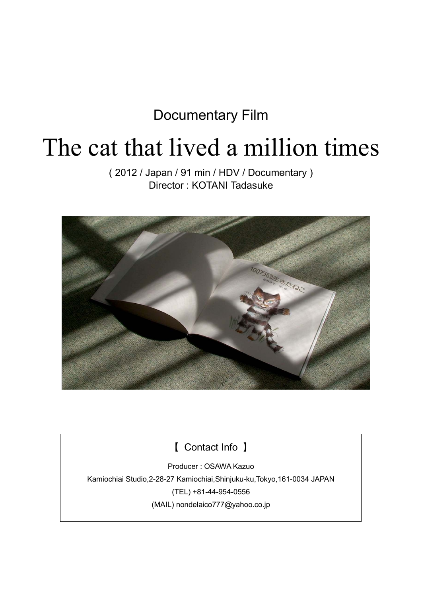### Documentary Film

# The cat that lived a million times

( 2012 / Japan / 91 min / HDV / Documentary ) Director : KOTANI Tadasuke



【 Contact Info 】

Producer : OSAWA Kazuo Kamiochiai Studio,2-28-27 Kamiochiai,Shinjuku-ku,Tokyo,161-0034 JAPAN (TEL) +81-44-954-0556 (MAIL) nondelaico777@yahoo.co.jp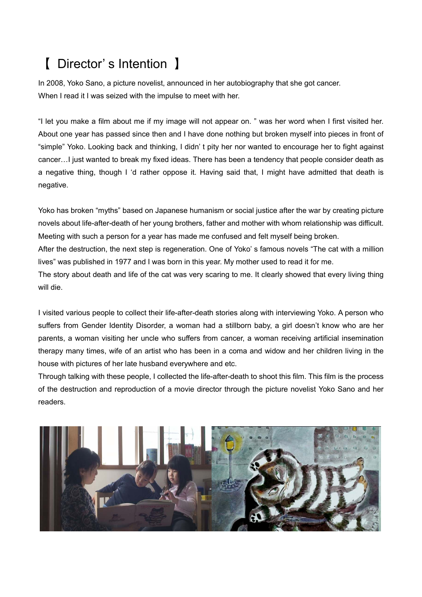## 【 Director' s Intention 】

In 2008, Yoko Sano, a picture novelist, announced in her autobiography that she got cancer. When I read it I was seized with the impulse to meet with her.

"I let you make a film about me if my image will not appear on. " was her word when I first visited her. About one year has passed since then and I have done nothing but broken myself into pieces in front of "simple" Yoko. Looking back and thinking, I didn' t pity her nor wanted to encourage her to fight against cancer... I just wanted to break my fixed ideas. There has been a tendency that people consider death as a negative thing, though I 'd rather oppose it. Having said that, I might have admitted that death is negative.

Yoko has broken "myths" based on Japanese humanism or social justice after the war by creating picture novels about life-after-death of her young brothers, father and mother with whom relationship was difficult. Meeting with such a person for a year has made me confused and felt myself being broken. After the destruction, the next step is regeneration. One of Yoko' s famous novels "The cat with a million lives" was published in 1977 and I was born in this year. My mother used to read it for me. The story about death and life of the cat was very scaring to me. It clearly showed that every living thing will die.

I visited various people to collect their life-after-death stories along with interviewing Yoko. A person who suffers from Gender Identity Disorder, a woman had a stillborn baby, a girl doesn't know who are her parents, a woman visiting her uncle who suffers from cancer, a woman receiving artificial insemination therapy many times, wife of an artist who has been in a coma and widow and her children living in the house with pictures of her late husband everywhere and etc.

Through talking with these people, I collected the life-after-death to shoot this film. This film is the process of the destruction and reproduction of a movie director through the picture novelist Yoko Sano and her readers.

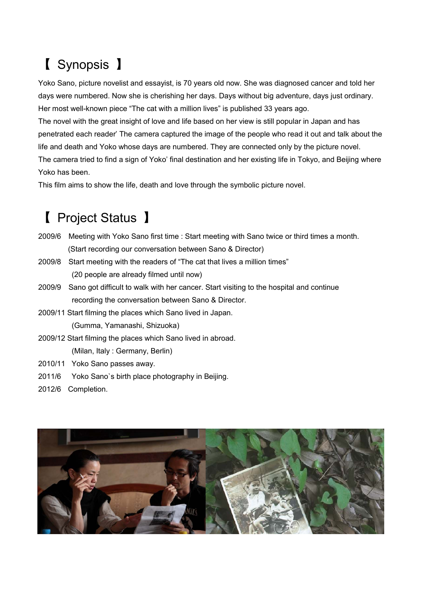## 【 Synopsis 】

Yoko Sano, picture novelist and essayist, is 70 years old now. She was diagnosed cancer and told her days were numbered. Now she is cherishing her days. Days without big adventure, days just ordinary. Her most well-known piece "The cat with a million lives" is published 33 years ago.

The novel with the great insight of love and life based on her view is still popular in Japan and has penetrated each reader' The camera captured the image of the people who read it out and talk about the life and death and Yoko whose days are numbered. They are connected only by the picture novel. The camera tried to find a sign of Yoko' final destination and her existing life in Tokyo, and Beijing where Yoko has been.

This film aims to show the life, death and love through the symbolic picture novel.

## 【 Project Status 】

- 2009/6 Meeting with Yoko Sano first time : Start meeting with Sano twice or third times a month. (Start recording our conversation between Sano & Director)
- 2009/8 Start meeting with the readers of "The cat that lives a million times" (20 people are already filmed until now)
- 2009/9 Sano got difficult to walk with her cancer. Start visiting to the hospital and continue recording the conversation between Sano & Director.
- 2009/11 Start filming the places which Sano lived in Japan. (Gumma, Yamanashi, Shizuoka)
- 2009/12 Start filming the places which Sano lived in abroad.

(Milan, Italy : Germany, Berlin)

- 2010/11 Yoko Sano passes away.
- 2011/6 Yoko Sano`s birth place photography in Beijing.
- 2012/6 Completion.

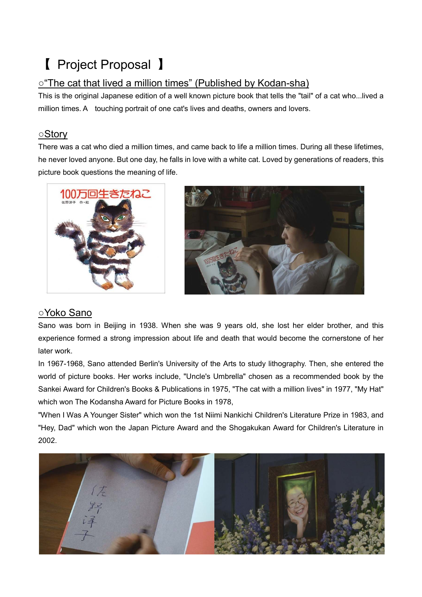## 【 Project Proposal 】

#### ○"The cat that lived a million times" (Published by Kodan-sha)

This is the original Japanese edition of a well known picture book that tells the "tail" of a cat who...lived a million times. A touching portrait of one cat's lives and deaths, owners and lovers.

#### ○Story

There was a cat who died a million times, and came back to life a million times. During all these lifetimes, he never loved anyone. But one day, he falls in love with a white cat. Loved by generations of readers, this picture book questions the meaning of life.





#### ○Yoko Sano

Sano was born in Beijing in 1938. When she was 9 years old, she lost her elder brother, and this experience formed a strong impression about life and death that would become the cornerstone of her later work.

In 1967-1968, Sano attended Berlin's University of the Arts to study lithography. Then, she entered the world of picture books. Her works include, "Uncle's Umbrella" chosen as a recommended book by the Sankei Award for Children's Books & Publications in 1975, "The cat with a million lives" in 1977, "My Hat" which won The Kodansha Award for Picture Books in 1978,

"When I Was A Younger Sister" which won the 1st Niimi Nankichi Children's Literature Prize in 1983, and "Hey, Dad" which won the Japan Picture Award and the Shogakukan Award for Children's Literature in 2002.

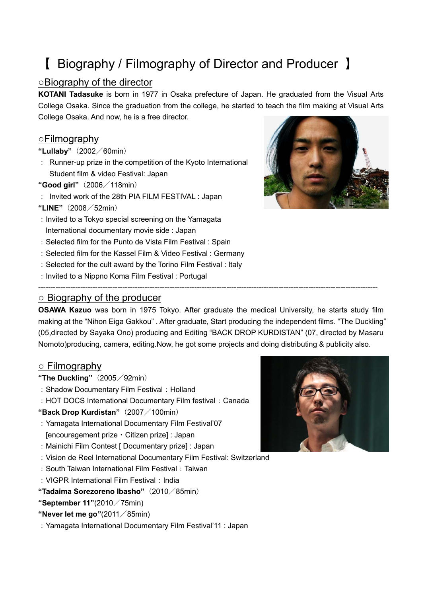## 【 Biography / Filmography of Director and Producer 】

#### ○Biography of the director

**KOTANI Tadasuke** is born in 1977 in Osaka prefecture of Japan. He graduated from the Visual Arts College Osaka. Since the graduation from the college, he started to teach the film making at Visual Arts College Osaka. And now, he is a free director.

#### ○Filmography

#### **"Lullaby"**(2002/60min)

: Runner-up prize in the competition of the Kyoto International Student film & video Festival: Japan

#### **"Good girl"**(2006/118min)

- : Invited work of the 28th PIA FILM FESTIVAL : Japan
- **"LINE"**(2008/52min)
- :Invited to a Tokyo special screening on the Yamagata International documentary movie side : Japan
- :Selected film for the Punto de Vista Film Festival : Spain
- :Selected film for the Kassel Film & Video Festival : Germany
- :Selected for the cult award by the Torino Film Festival : Italy
- :Invited to a Nippno Koma Film Festival : Portugal

#### ○ Biography of the producer

**OSAWA Kazuo** was born in 1975 Tokyo. After graduate the medical University, he starts study film making at the "Nihon Eiga Gakkou" . After graduate, Start producing the independent films. "The Duckling" (05,directed by Sayaka Ono) producing and Editing "BACK DROP KURDISTAN" (07, directed by Masaru Nomoto)producing, camera, editing.Now, he got some projects and doing distributing & publicity also.

-----------------------------------------------------------------------------------------------------------------------------------------

#### ○ Filmography

- **"The Duckling"**(2005/92min)
- : Shadow Documentary Film Festival: Holland
- : HOT DOCS International Documentary Film festival: Canada
- **"Back Drop Kurdistan"**(2007/100min)
- :Yamagata International Documentary Film Festival'07 [encouragement prize・Citizen prize] : Japan
- :Mainichi Film Contest [ Documentary prize] : Japan
- :Vision de Reel International Documentary Film Festival: Switzerland
- : South Taiwan International Film Festival: Taiwan
- $\cdot$  VIGPR International Film Festival  $\cdot$  India

**"Tadaima Sorezoreno Ibasho"**(2010/85min)

**"September 11"**(2010/75min)

**"Never let me go"**(2011/85min)

:Yamagata International Documentary Film Festival'11 : Japan